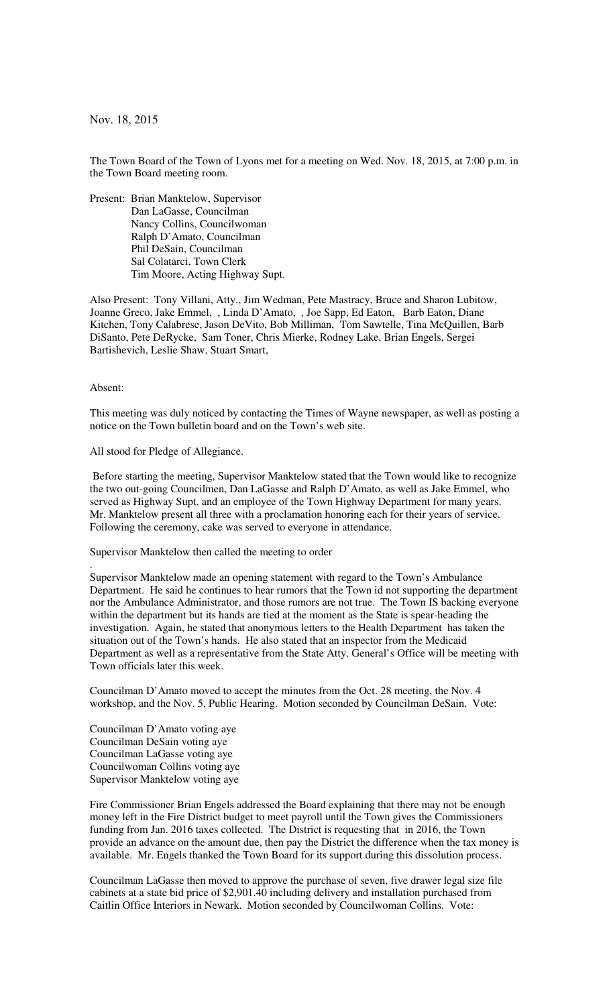Nov. 18, 2015

The Town Board of the Town of Lyons met for a meeting on Wed. Nov. 18, 2015, at 7:00 p.m. in the Town Board meeting room.

Present: Brian Manktelow, Supervisor Dan LaGasse, Councilman Nancy Collins, Councilwoman Ralph D'Amato, Councilman Phil DeSain, Councilman Sal Colatarci, Town Clerk Tim Moore, Acting Highway Supt.

Also Present: Tony Villani, Atty., Jim Wedman, Pete Mastracy, Bruce and Sharon Lubitow, Joanne Greco, Jake Emmel, , Linda D'Amato, , Joe Sapp, Ed Eaton, Barb Eaton, Diane Kitchen, Tony Calabrese, Jason DeVito, Bob Milliman, Tom Sawtelle, Tina McQuillen, Barb DiSanto, Pete DeRycke, Sam Toner, Chris Mierke, Rodney Lake, Brian Engels, Sergei Bartishevich, Leslie Shaw, Stuart Smart,

## Absent:

.

This meeting was duly noticed by contacting the Times of Wayne newspaper, as well as posting a notice on the Town bulletin board and on the Town's web site.

All stood for Pledge of Allegiance.

 Before starting the meeting, Supervisor Manktelow stated that the Town would like to recognize the two out-going Councilmen, Dan LaGasse and Ralph D'Amato, as well as Jake Emmel, who served as Highway Supt. and an employee of the Town Highway Department for many years. Mr. Manktelow present all three with a proclamation honoring each for their years of service. Following the ceremony, cake was served to everyone in attendance.

Supervisor Manktelow then called the meeting to order

Supervisor Manktelow made an opening statement with regard to the Town's Ambulance Department. He said he continues to hear rumors that the Town id not supporting the department nor the Ambulance Administrator, and those rumors are not true. The Town IS backing everyone within the department but its hands are tied at the moment as the State is spear-heading the investigation. Again, he stated that anonymous letters to the Health Department has taken the situation out of the Town's hands. He also stated that an inspector from the Medicaid Department as well as a representative from the State Atty. General's Office will be meeting with Town officials later this week.

Councilman D'Amato moved to accept the minutes from the Oct. 28 meeting, the Nov. 4 workshop, and the Nov. 5, Public Hearing. Motion seconded by Councilman DeSain. Vote:

Councilman D'Amato voting aye Councilman DeSain voting aye Councilman LaGasse voting aye Councilwoman Collins voting aye Supervisor Manktelow voting aye

Fire Commissioner Brian Engels addressed the Board explaining that there may not be enough money left in the Fire District budget to meet payroll until the Town gives the Commissioners funding from Jan. 2016 taxes collected. The District is requesting that in 2016, the Town provide an advance on the amount due, then pay the District the difference when the tax money is available. Mr. Engels thanked the Town Board for its support during this dissolution process.

Councilman LaGasse then moved to approve the purchase of seven, five drawer legal size file cabinets at a state bid price of \$2,901.40 including delivery and installation purchased from Caitlin Office Interiors in Newark. Motion seconded by Councilwoman Collins. Vote: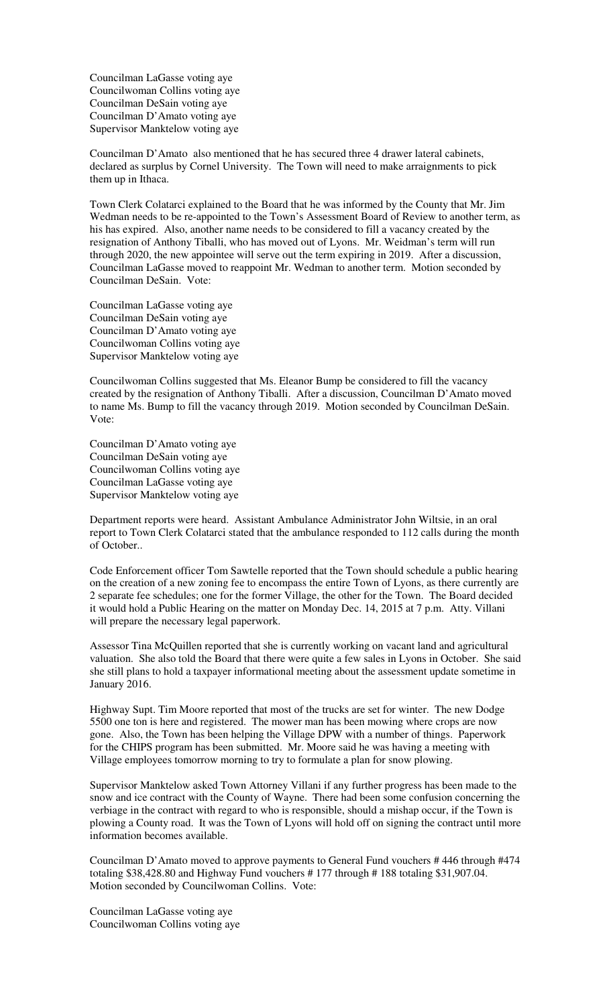Councilman LaGasse voting aye Councilwoman Collins voting aye Councilman DeSain voting aye Councilman D'Amato voting aye Supervisor Manktelow voting aye

Councilman D'Amato also mentioned that he has secured three 4 drawer lateral cabinets, declared as surplus by Cornel University. The Town will need to make arraignments to pick them up in Ithaca.

Town Clerk Colatarci explained to the Board that he was informed by the County that Mr. Jim Wedman needs to be re-appointed to the Town's Assessment Board of Review to another term, as his has expired. Also, another name needs to be considered to fill a vacancy created by the resignation of Anthony Tiballi, who has moved out of Lyons. Mr. Weidman's term will run through 2020, the new appointee will serve out the term expiring in 2019. After a discussion, Councilman LaGasse moved to reappoint Mr. Wedman to another term. Motion seconded by Councilman DeSain. Vote:

Councilman LaGasse voting aye Councilman DeSain voting aye Councilman D'Amato voting aye Councilwoman Collins voting aye Supervisor Manktelow voting aye

Councilwoman Collins suggested that Ms. Eleanor Bump be considered to fill the vacancy created by the resignation of Anthony Tiballi. After a discussion, Councilman D'Amato moved to name Ms. Bump to fill the vacancy through 2019. Motion seconded by Councilman DeSain. Vote:

Councilman D'Amato voting aye Councilman DeSain voting aye Councilwoman Collins voting aye Councilman LaGasse voting aye Supervisor Manktelow voting aye

Department reports were heard. Assistant Ambulance Administrator John Wiltsie, in an oral report to Town Clerk Colatarci stated that the ambulance responded to 112 calls during the month of October..

Code Enforcement officer Tom Sawtelle reported that the Town should schedule a public hearing on the creation of a new zoning fee to encompass the entire Town of Lyons, as there currently are 2 separate fee schedules; one for the former Village, the other for the Town. The Board decided it would hold a Public Hearing on the matter on Monday Dec. 14, 2015 at 7 p.m. Atty. Villani will prepare the necessary legal paperwork.

Assessor Tina McQuillen reported that she is currently working on vacant land and agricultural valuation. She also told the Board that there were quite a few sales in Lyons in October. She said she still plans to hold a taxpayer informational meeting about the assessment update sometime in January 2016.

Highway Supt. Tim Moore reported that most of the trucks are set for winter. The new Dodge 5500 one ton is here and registered. The mower man has been mowing where crops are now gone. Also, the Town has been helping the Village DPW with a number of things. Paperwork for the CHIPS program has been submitted. Mr. Moore said he was having a meeting with Village employees tomorrow morning to try to formulate a plan for snow plowing.

Supervisor Manktelow asked Town Attorney Villani if any further progress has been made to the snow and ice contract with the County of Wayne. There had been some confusion concerning the verbiage in the contract with regard to who is responsible, should a mishap occur, if the Town is plowing a County road. It was the Town of Lyons will hold off on signing the contract until more information becomes available.

Councilman D'Amato moved to approve payments to General Fund vouchers # 446 through #474 totaling \$38,428.80 and Highway Fund vouchers # 177 through # 188 totaling \$31,907.04. Motion seconded by Councilwoman Collins. Vote:

Councilman LaGasse voting aye Councilwoman Collins voting aye